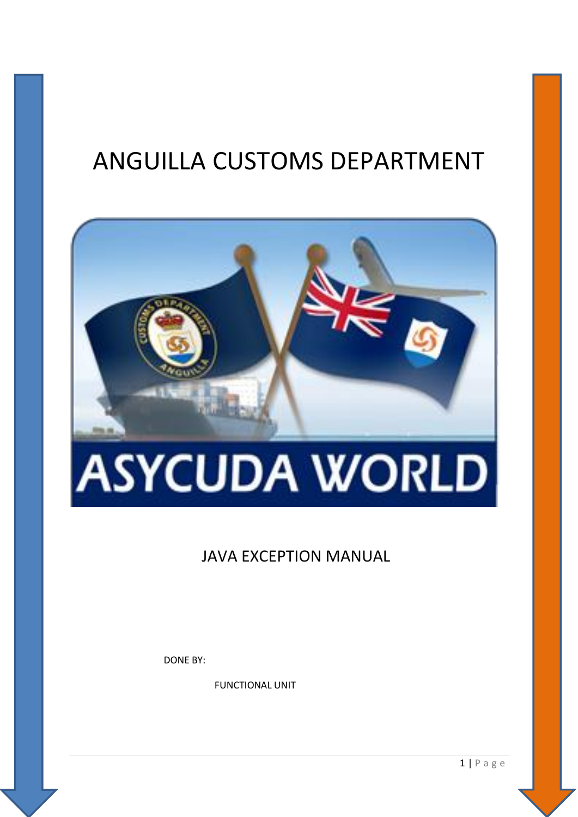# ANGUILLA CUSTOMS DEPARTMENT



# **ASYCUDA WORLD**

### **JAVA EXCEPTION MANUAL**

**DONE BY:** 

**FUNCTIONAL UNIT** 

 $1 | P \text{ a } g \text{ e}$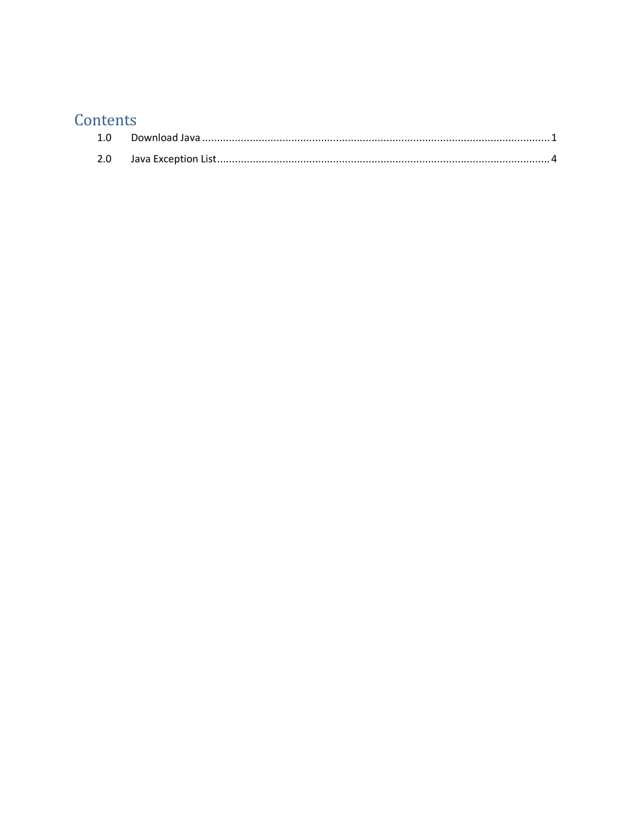## Contents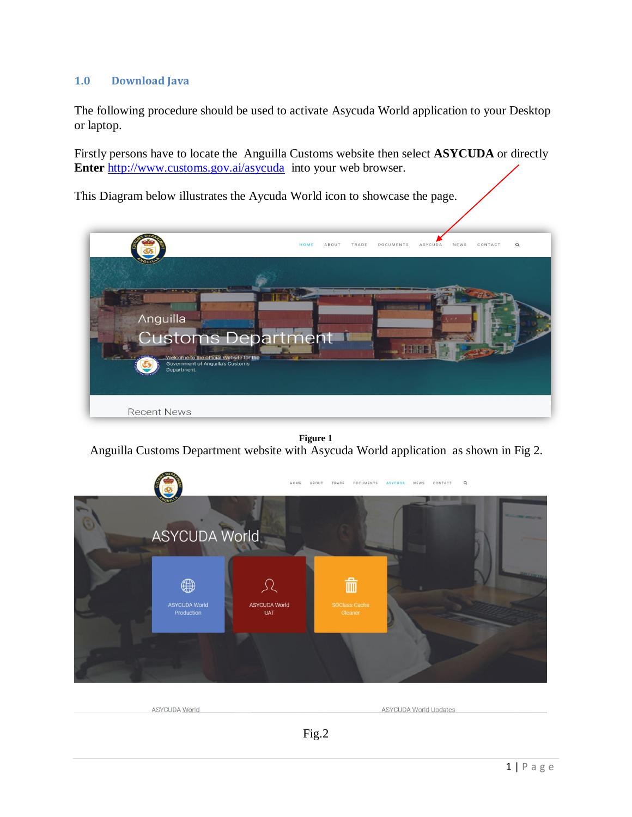#### <span id="page-2-0"></span>**1.0 Download Java**

The following procedure should be used to activate Asycuda World application to your Desktop or laptop.

Firstly persons have to locate the Anguilla Customs website then select **ASYCUDA** or directly **Enter** <http://www.customs.gov.ai/asycuda> into your web browser.

This Diagram below illustrates the Aycuda World icon to showcase the page.



**Figure 1**  Anguilla Customs Department website with Asycuda World application as shown in Fig 2.



| <b>ASYCUDA World</b> | <b>ASYCUDA World Undates</b> |
|----------------------|------------------------------|
|                      |                              |
|                      |                              |

Fig.2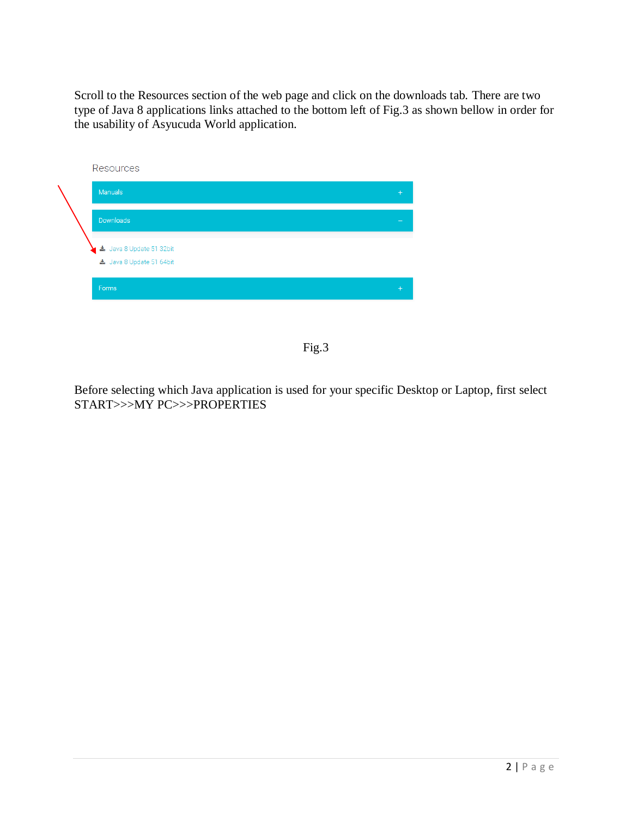Scroll to the Resources section of the web page and click on the downloads tab. There are two type of Java 8 applications links attached to the bottom left of Fig.3 as shown bellow in order for the usability of Asyucuda World application.



Fig.3

Before selecting which Java application is used for your specific Desktop or Laptop, first select START>>>MY PC>>>PROPERTIES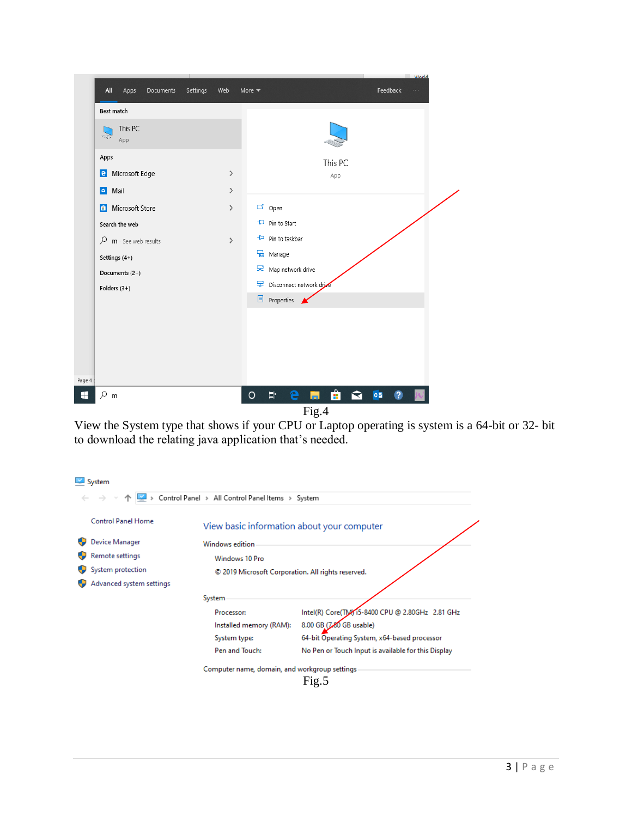|                                                     |                 | <b><i>Morld</i></b>                                               |
|-----------------------------------------------------|-----------------|-------------------------------------------------------------------|
| All<br>Documents<br>Apps                            | Settings<br>Web | Feedback<br>More $\blacktriangledown$<br>$\cdots$                 |
| Best match                                          |                 |                                                                   |
| This PC<br>$\mathcal{A}(\mathcal{O}_{\mathcal{G}})$ |                 |                                                                   |
| App                                                 |                 |                                                                   |
| Apps                                                |                 | This PC                                                           |
| <b>e</b> Microsoft Edge                             | $\,$            | App                                                               |
| Mail<br>٥                                           | $\rightarrow$   |                                                                   |
| Microsoft Store<br>â                                | $\rightarrow$   | $\Box'$ Open                                                      |
| Search the web                                      |                 | + Pin to Start                                                    |
| $O$ m - See web results                             | $\rightarrow$   | -H Pin to taskbar                                                 |
| Settings (4+)                                       |                 | Manage                                                            |
| Documents (2+)                                      |                 | Map network drive                                                 |
| Folders $(3+)$                                      |                 | Disconnect network drive                                          |
|                                                     |                 | <b>El</b> Properties K                                            |
|                                                     |                 |                                                                   |
|                                                     |                 |                                                                   |
|                                                     |                 |                                                                   |
|                                                     |                 |                                                                   |
|                                                     |                 |                                                                   |
| Ω<br>m                                              |                 | $\hat{\mathbf{H}}$<br>耳<br>e<br>$\circ$<br>$\circ$<br>ы<br>B<br>◘ |
|                                                     |                 | Fig.4                                                             |

View the System type that shows if your CPU or Laptop operating is system is a 64-bit or 32- bit to download the relating java application that's needed.

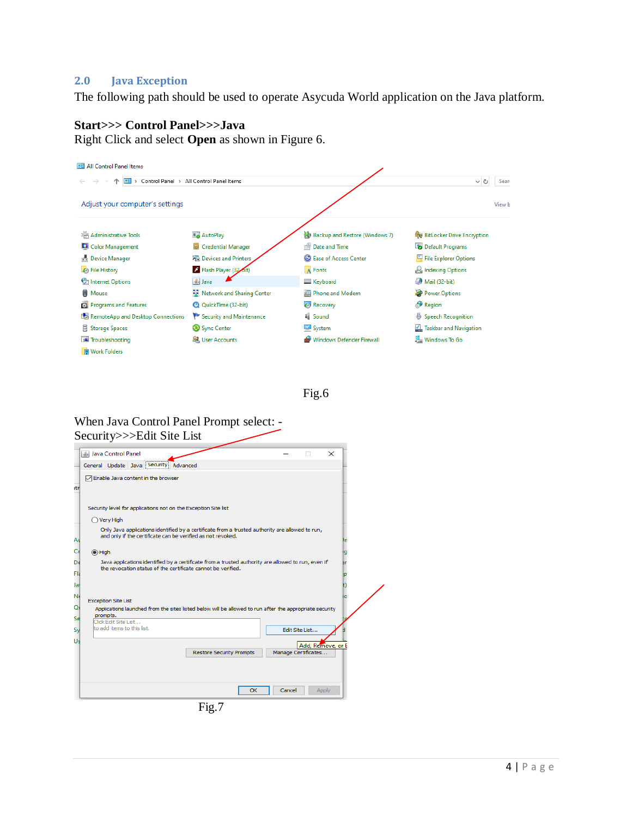#### <span id="page-5-0"></span>**2.0 Java Exception**

The following path should be used to operate Asycuda World application on the Java platform.

#### **Start>>> Control Panel>>>Java**

Right Click and select **Open** as shown in Figure 6.



Fig.6

#### When Java Control Panel Prompt select: - Security>>>Edit Site List